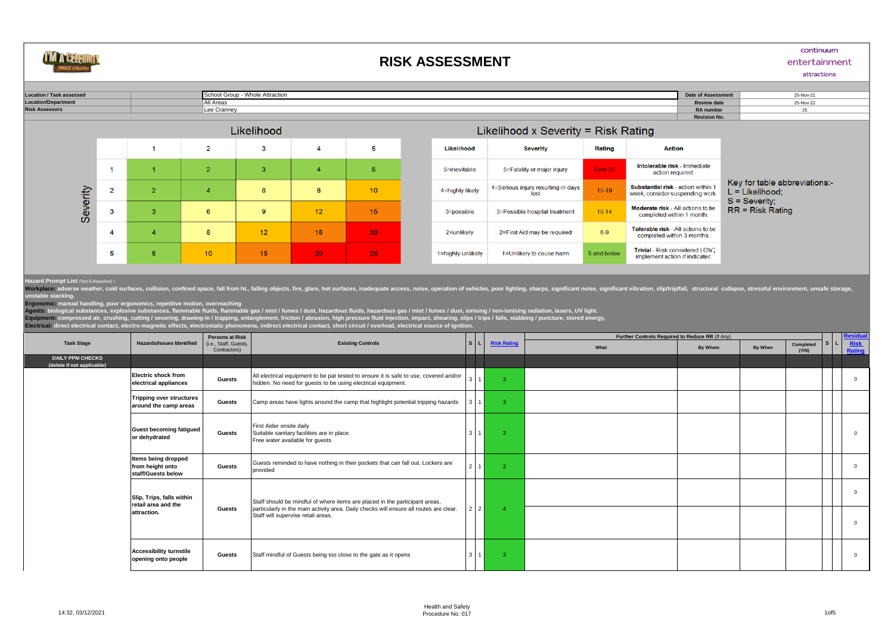

## **RISK ASSESSMENT**

## continuum

## entertainment attractions

25-Nov-21 **Location / Task assessed Date of Assessment** School Group - Whole Attraction **Location/Department Review date** All Areas 25-Nov-22 Lee Cranney 25 **Risk Assessors RA number Revision No.** and the state of the state of the state and the second control of the second Likelihood  $\overline{2}$  $\mathbf{3}$ 5  $\overline{1}$  $\overline{4}$ 



|                   | $L$ ikelihood x Severity = Risk Rating     |             |                                                                         |                                                    |
|-------------------|--------------------------------------------|-------------|-------------------------------------------------------------------------|----------------------------------------------------|
| Likelihood        | <b>Action</b><br><b>Severity</b><br>Rating |             |                                                                         |                                                    |
| 5=inevitable      | 5=Fatality or major injury                 | Over 20     | Intolerable risk - Immediate<br>action required.                        |                                                    |
| 4=highly likely   | 4=Serious injury resulting in days<br>lost | $15-19$     | Substantial risk - action within 1<br>week, consider suspending work.   | Key for table abbreviations:-<br>$L =$ Likelihood: |
| 3=possible        | 3=Possible hospital treatment              | $10 - 14$   | <b>Moderate risk</b> - All actions to be<br>completed within 1 month.   | $S =$ Severity:<br>$RR = Risk Ratina$              |
| 2=unlikely        | 2=First Aid may be required                | $6-9$       | <b>Tolerable risk</b> - All actions to be<br>completed within 3 months. |                                                    |
| 1=highly unlikely | 1=Unlikely to cause harm                   | 5 and below | <b>Trivial</b> - Risk considered LOW:<br>implement action if indicated  |                                                    |

## **Hazard Prompt List** (Not Exhaustive) **:**

number states weather, cold surfaces, collision, confined space, fall from ht., falling objects, fire, glare, hot surfaces, inadequate access, noise, operation of vehicles, poor lighting, sharps, significant noise, signifi

unstable stacking.<br>Ergonomic: manual handling, poor ergonomics, repetitive motion, overreaching<br>Agents: biological substances, explosive substances, flammable fluids, flammable gas / mist / fumes / duist, hazardous gas / m

|                                                       |                                                                 | <b>Persons at Risk</b>               | <b>Existing Controls</b>                                                                                                                                                                                    |                |                         | Further Controls Required to Reduce RR (If Any) |         |         |                    |    |                      |
|-------------------------------------------------------|-----------------------------------------------------------------|--------------------------------------|-------------------------------------------------------------------------------------------------------------------------------------------------------------------------------------------------------------|----------------|-------------------------|-------------------------------------------------|---------|---------|--------------------|----|----------------------|
| <b>Task Stage</b>                                     | <b>Hazards/Issues Identified</b>                                | i.e., Staff, Guests.<br>Contractors) |                                                                                                                                                                                                             | l s l          | <b>Risk Rating</b>      | What                                            | By Whom | By When | Completed<br>(Y/N) | S. | Risk<br>Rating       |
| <b>DAILY PPM CHECKS</b><br>(delete if not applicable) |                                                                 |                                      |                                                                                                                                                                                                             |                |                         |                                                 |         |         |                    |    |                      |
|                                                       | <b>Electric shock from</b><br>electrical appliances             | <b>Guests</b>                        | All electrical equipment to be pat tested to ensure it is safe to use, covered and/or<br>hidden. No need for guests to be using electrical equipment.                                                       | 3 <sup>1</sup> | $\overline{\mathbf{3}}$ |                                                 |         |         |                    |    | $\Omega$             |
|                                                       | <b>Tripping over structures</b><br>around the camp areas        | <b>Guests</b>                        | Camp areas have lights around the camp that highlight potential tripping hazards                                                                                                                            |                | -3                      |                                                 |         |         |                    |    |                      |
|                                                       | <b>Guest becoming fatigued</b><br>or dehydrated                 | <b>Guests</b>                        | First Aider onsite daily<br>Suitable sanitary facilities are in place.<br>Free water available for guests                                                                                                   | 3              | $\mathbf{3}$            |                                                 |         |         |                    |    | $\Omega$             |
|                                                       | Items being dropped<br>from height onto<br>staff/Guests below   | <b>Guests</b>                        | Guests reminded to have nothing in their pockets that can fall out. Lockers are<br>provided                                                                                                                 | $2^{\prime}$   | $\overline{2}$          |                                                 |         |         |                    |    | $\Omega$             |
|                                                       | Slip, Trips, falls within<br>retail area and the<br>attraction. | <b>Guests</b>                        | Staff should be mindful of where items are placed in the participant areas,<br>particularly in the main activity area. Daily checks will ensure all routes are clear.<br>Staff will supervise retail areas. | 2 2            |                         |                                                 |         |         |                    |    | $\Omega$<br>$\Omega$ |
|                                                       |                                                                 |                                      |                                                                                                                                                                                                             |                |                         |                                                 |         |         |                    |    |                      |
|                                                       | <b>Accessibility turnstile</b><br>opening onto people           | Guests                               | Staff mindful of Guests being too close to the gate as it opens                                                                                                                                             | 3              | -3                      |                                                 |         |         |                    |    | $\Omega$             |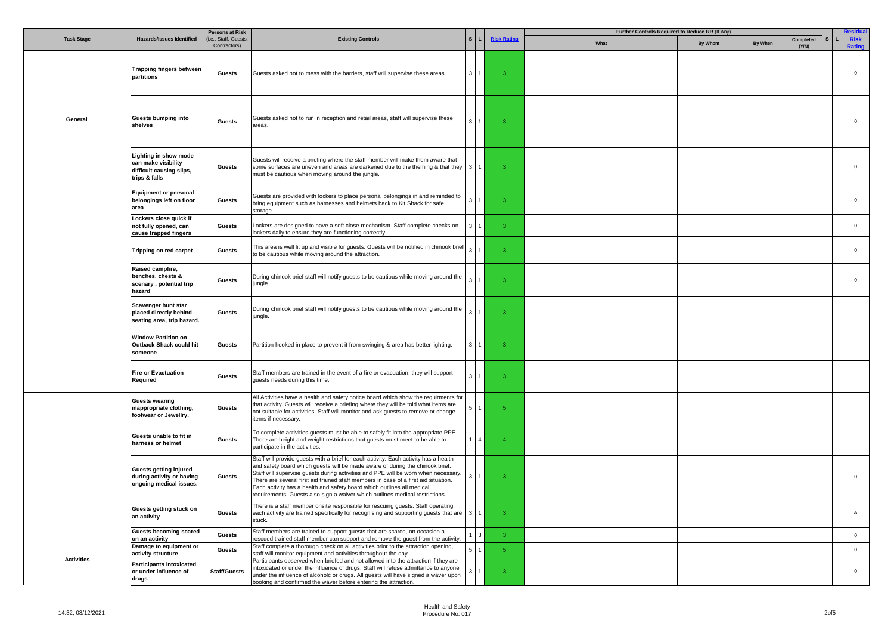|                   |                                                                                           | <b>Persons at Risk</b>               |                                                                                                                                                                                                                                                                                                                                                                                                                                                                                                              |                |                             |                    | Further Controls Required to Reduce RR (If Any) |         |         |                    |  |                      |
|-------------------|-------------------------------------------------------------------------------------------|--------------------------------------|--------------------------------------------------------------------------------------------------------------------------------------------------------------------------------------------------------------------------------------------------------------------------------------------------------------------------------------------------------------------------------------------------------------------------------------------------------------------------------------------------------------|----------------|-----------------------------|--------------------|-------------------------------------------------|---------|---------|--------------------|--|----------------------|
| <b>Task Stage</b> | <b>Hazards/Issues Identified</b>                                                          | (i.e., Staff, Guests<br>Contractors) | <b>Existing Controls</b>                                                                                                                                                                                                                                                                                                                                                                                                                                                                                     |                |                             | <b>Risk Rating</b> | What                                            | By Whom | By When | Completed<br>(Y/N) |  | <b>Risk</b><br>ating |
|                   | <b>Trapping fingers between</b><br>partitions                                             | <b>Guests</b>                        | Guests asked not to mess with the barriers, staff will supervise these areas.                                                                                                                                                                                                                                                                                                                                                                                                                                | $3 \mid 1$     |                             | -3                 |                                                 |         |         |                    |  | $\mathbf 0$          |
| General           | Guests bumping into<br>shelves                                                            | Guests                               | Guests asked not to run in reception and retail areas, staff will supervise these<br>areas.                                                                                                                                                                                                                                                                                                                                                                                                                  | $3^{\circ}$    |                             | 3                  |                                                 |         |         |                    |  | $\mathbf 0$          |
|                   | Lighting in show mode<br>can make visibility<br>difficult causing slips,<br>trips & falls | Guests                               | Guests will receive a briefing where the staff member will make them aware that<br>some surfaces are uneven and areas are darkened due to the theming & that they<br>must be cautious when moving around the jungle.                                                                                                                                                                                                                                                                                         |                |                             | $\mathbf{3}$       |                                                 |         |         |                    |  | $\mathbf 0$          |
|                   | <b>Equipment or personal</b><br>belongings left on floor<br>area                          | Guests                               | Guests are provided with lockers to place personal belongings in and reminded to<br>bring equipment such as harnesses and helmets back to Kit Shack for safe<br>storage                                                                                                                                                                                                                                                                                                                                      |                |                             | 3                  |                                                 |         |         |                    |  | $\mathbf 0$          |
|                   | Lockers close quick if<br>not fully opened, can<br>cause trapped fingers                  | Guests                               | Lockers are designed to have a soft close mechanism. Staff complete checks on<br>lockers daily to ensure they are functioning correctly.                                                                                                                                                                                                                                                                                                                                                                     |                |                             | 3                  |                                                 |         |         |                    |  | $\mathbf 0$          |
|                   | Tripping on red carpet                                                                    | Guests                               | This area is well lit up and visible for guests. Guests will be notified in chinook brief<br>to be cautious while moving around the attraction.                                                                                                                                                                                                                                                                                                                                                              |                |                             | 3                  |                                                 |         |         |                    |  | $\mathbf 0$          |
|                   | Raised campfire,<br>benches, chests &<br>scenary, potential trip<br>hazard                | Guests                               | During chinook brief staff will notify guests to be cautious while moving around the<br>jungle.                                                                                                                                                                                                                                                                                                                                                                                                              |                |                             | 3                  |                                                 |         |         |                    |  | $\mathbf 0$          |
|                   | Scavenger hunt star<br>placed directly behind<br>seating area, trip hazard.               | <b>Guests</b>                        | During chinook brief staff will notify guests to be cautious while moving around the<br>jungle.                                                                                                                                                                                                                                                                                                                                                                                                              |                |                             | $\mathbf{R}$       |                                                 |         |         |                    |  |                      |
|                   | <b>Window Partition on</b><br>Outback Shack could hit<br>someone                          | <b>Guests</b>                        | Partition hooked in place to prevent it from swinging & area has better lighting.                                                                                                                                                                                                                                                                                                                                                                                                                            | 3 1            |                             | $\mathbf{3}$       |                                                 |         |         |                    |  |                      |
|                   | <b>Fire or Evactuation</b><br>Required                                                    | Guests                               | Staff members are trained in the event of a fire or evacuation, they will support<br>guests needs during this time.                                                                                                                                                                                                                                                                                                                                                                                          | $\mathbf{R}$   |                             | 3                  |                                                 |         |         |                    |  |                      |
|                   | <b>Guests wearing</b><br>inappropriate clothing,<br>footwear or Jewellry.                 | <b>Guests</b>                        | All Activities have a health and safety notice board which show the requirments for<br>that activity. Guests will receive a briefing where they will be told what items are<br>not suitable for activities. Staff will monitor and ask guests to remove or change<br>items if necessary.                                                                                                                                                                                                                     |                |                             | 5                  |                                                 |         |         |                    |  |                      |
|                   | Guests unable to fit in<br>harness or helmet                                              | Guests                               | To complete activities guests must be able to safely fit into the appropriate PPE.<br>There are height and weight restrictions that guests must meet to be able to<br>participate in the activities.                                                                                                                                                                                                                                                                                                         |                | 1   4                       |                    |                                                 |         |         |                    |  |                      |
|                   | <b>Guests getting injured</b><br>during activity or having<br>ongoing medical issues.     | Guests                               | Staff will provide quests with a brief for each activity. Each activity has a health<br>and safety board which guests will be made aware of during the chinook brief.<br>Staff will supervise guests during activities and PPE will be worn when necessary.<br>There are several first aid trained staff members in case of a first aid situation.<br>Each activity has a health and safety board which outlines all medical<br>requirements. Guests also sign a waiver which outlines medical restrictions. |                |                             | 3                  |                                                 |         |         |                    |  | $\Omega$             |
|                   | Guests getting stuck on<br>an activity                                                    | Guests                               | There is a staff member onsite responsible for rescuing guests. Staff operating<br>each activity are trained specifically for recognising and supporting guests that are<br>stuck.                                                                                                                                                                                                                                                                                                                           | 3 <sup>1</sup> |                             | $\mathbf{3}$       |                                                 |         |         |                    |  | $\overline{A}$       |
|                   | <b>Guests becoming scared</b><br>on an activity                                           | Guests                               | Staff members are trained to support quests that are scared, on occasion a<br>rescued trained staff member can support and remove the guest from the activity.                                                                                                                                                                                                                                                                                                                                               |                | $1 \overline{\phantom{0}}3$ | -3.                |                                                 |         |         |                    |  | $\mathbf 0$          |
|                   | Damage to equipment or<br>activity structure                                              | Guests                               | Staff complete a thorough check on all activities prior to the attraction opening,<br>staff will monitor equipment and activities throughout the day.                                                                                                                                                                                                                                                                                                                                                        | 511            |                             | 5 <sub>1</sub>     |                                                 |         |         |                    |  | $\mathbf 0$          |
| <b>Activities</b> | <b>Participants intoxicated</b><br>or under influence of<br>drugs                         | <b>Staff/Guests</b>                  | Participants observed when briefed and not allowed into the attraction if they are<br>intoxicated or under the influence of drugs. Staff will refuse admittance to anyone<br>under the influence of alcoholc or drugs. All guests will have signed a waver upon<br>booking and confirmed the waver before entering the attraction.                                                                                                                                                                           |                |                             | $\overline{3}$     |                                                 |         |         |                    |  | $\Omega$             |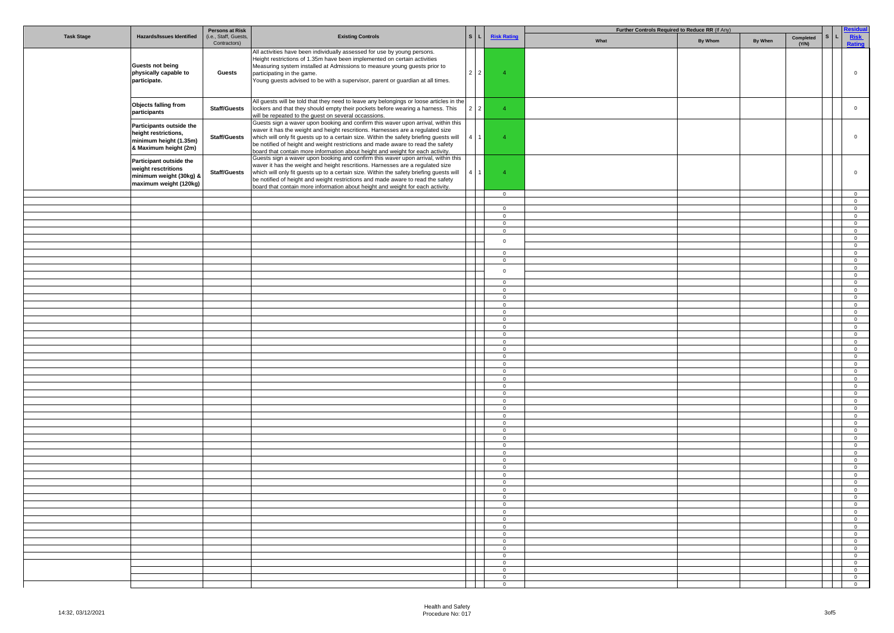|                   |                                                                                                     | <b>Persons at Risk</b>               |                                                                                                                                                                                                                                                                                                                                                                                                                                     |                 |                                  | Further Controls Required to Reduce RR (If Any) |                |         |                    |                                          |                                           |  |
|-------------------|-----------------------------------------------------------------------------------------------------|--------------------------------------|-------------------------------------------------------------------------------------------------------------------------------------------------------------------------------------------------------------------------------------------------------------------------------------------------------------------------------------------------------------------------------------------------------------------------------------|-----------------|----------------------------------|-------------------------------------------------|----------------|---------|--------------------|------------------------------------------|-------------------------------------------|--|
| <b>Task Stage</b> | <b>Hazards/Issues Identified</b>                                                                    | (i.e., Staff, Guests<br>Contractors) | <b>Existing Controls</b>                                                                                                                                                                                                                                                                                                                                                                                                            | $\mathbf{s}$    | <b>Risk Rating</b>               | What                                            | <b>By Whom</b> | By When | Completed<br>(Y/N) |                                          | Risk<br>Rating                            |  |
|                   | <b>Guests not being</b><br>physically capable to<br>participate.                                    | Guests                               | All activities have been individually assessed for use by young persons.<br>Height restrictions of 1.35m have been implemented on certain activities<br>Measuring system installed at Admissions to measure young guests prior to<br>participating in the game.<br>Young guests advised to be with a supervisor, parent or guardian at all times.                                                                                   | $2 \mid 2$      | $\overline{4}$                   |                                                 |                |         |                    |                                          | $\mathbf 0$                               |  |
|                   | Objects falling from<br>participants                                                                | <b>Staff/Guests</b>                  | All guests will be told that they need to leave any belongings or loose articles in the<br>lockers and that they should empty their pockets before wearing a harness. This<br>will be repeated to the guest on several occassions.                                                                                                                                                                                                  | $2 \mid 2$      | $\overline{4}$                   |                                                 |                |         |                    |                                          | $\overline{0}$                            |  |
|                   | Participants outside the<br>height restrictions,<br>minimum height (1.35m)<br>& Maximum height (2m) | <b>Staff/Guests</b>                  | Guests sign a waver upon booking and confirm this waver upon arrival, within this<br>waver it has the weight and height rescritions. Harnesses are a regulated size<br>which will only fit guests up to a certain size. Within the safety briefing guests will<br>be notified of height and weight restrictions and made aware to read the safety<br>board that contain more information about height and weight for each activity. | 4 <sup>1</sup>  | $\overline{4}$                   |                                                 |                |         |                    |                                          | $\mathbf 0$                               |  |
|                   | Participant outside the<br>weight resctritions<br>minimum weight (30kg) &<br>maximum weight (120kg) | <b>Staff/Guests</b>                  | Guests sign a waver upon booking and confirm this waver upon arrival, within this<br>waver it has the weight and height rescritions. Harnesses are a regulated size<br>which will only fit guests up to a certain size. Within the safety briefing guests will<br>be notified of height and weight restrictions and made aware to read the safety<br>board that contain more information about height and weight for each activity. | 4               | $\overline{4}$                   |                                                 |                |         |                    |                                          | $\overline{0}$                            |  |
|                   |                                                                                                     |                                      |                                                                                                                                                                                                                                                                                                                                                                                                                                     |                 | $\overline{0}$                   |                                                 |                |         |                    |                                          | $\overline{0}$                            |  |
|                   |                                                                                                     |                                      |                                                                                                                                                                                                                                                                                                                                                                                                                                     |                 | $\overline{0}$                   |                                                 |                |         |                    |                                          | $\overline{0}$<br>$\overline{0}$          |  |
|                   |                                                                                                     |                                      |                                                                                                                                                                                                                                                                                                                                                                                                                                     |                 | $\mathbf 0$                      |                                                 |                |         |                    |                                          | $\overline{0}$                            |  |
|                   |                                                                                                     |                                      |                                                                                                                                                                                                                                                                                                                                                                                                                                     |                 | $\overline{0}$                   |                                                 |                |         |                    |                                          | $\overline{0}$                            |  |
|                   |                                                                                                     |                                      |                                                                                                                                                                                                                                                                                                                                                                                                                                     |                 | $\overline{0}$                   |                                                 |                |         |                    |                                          | $\overline{0}$                            |  |
|                   |                                                                                                     |                                      |                                                                                                                                                                                                                                                                                                                                                                                                                                     |                 | $\mathbf 0$                      |                                                 |                |         |                    |                                          | $\overline{0}$                            |  |
|                   |                                                                                                     |                                      |                                                                                                                                                                                                                                                                                                                                                                                                                                     |                 |                                  |                                                 |                |         |                    |                                          | $\overline{0}$                            |  |
|                   |                                                                                                     |                                      |                                                                                                                                                                                                                                                                                                                                                                                                                                     |                 | $\overline{0}$<br>$\mathbf 0$    |                                                 |                |         |                    |                                          | $\overline{0}$<br>$\overline{0}$          |  |
|                   |                                                                                                     |                                      |                                                                                                                                                                                                                                                                                                                                                                                                                                     |                 |                                  |                                                 |                |         |                    |                                          | $\circ$                                   |  |
|                   |                                                                                                     |                                      |                                                                                                                                                                                                                                                                                                                                                                                                                                     |                 | $\mathbf 0$                      |                                                 |                |         |                    |                                          | $\overline{0}$                            |  |
|                   |                                                                                                     |                                      |                                                                                                                                                                                                                                                                                                                                                                                                                                     |                 | $\circ$                          |                                                 |                |         |                    |                                          | $\overline{0}$                            |  |
|                   |                                                                                                     |                                      |                                                                                                                                                                                                                                                                                                                                                                                                                                     |                 | $\overline{0}$                   |                                                 |                |         |                    |                                          | $\overline{0}$                            |  |
|                   |                                                                                                     |                                      |                                                                                                                                                                                                                                                                                                                                                                                                                                     |                 | $\overline{0}$                   |                                                 |                |         |                    |                                          | $\overline{0}$                            |  |
|                   |                                                                                                     |                                      |                                                                                                                                                                                                                                                                                                                                                                                                                                     |                 | $\mathbf 0$<br>$\overline{0}$    |                                                 |                |         |                    |                                          | $\overline{0}$<br>$\overline{0}$          |  |
|                   |                                                                                                     |                                      |                                                                                                                                                                                                                                                                                                                                                                                                                                     |                 | $\overline{0}$                   |                                                 |                |         |                    |                                          | $\overline{0}$                            |  |
|                   |                                                                                                     |                                      |                                                                                                                                                                                                                                                                                                                                                                                                                                     |                 | $\mathbf 0$                      |                                                 |                |         |                    |                                          | $\overline{0}$                            |  |
|                   |                                                                                                     |                                      |                                                                                                                                                                                                                                                                                                                                                                                                                                     |                 | $\overline{0}$                   |                                                 |                |         |                    |                                          | $\circ$                                   |  |
|                   |                                                                                                     |                                      |                                                                                                                                                                                                                                                                                                                                                                                                                                     |                 | $\overline{0}$                   |                                                 |                |         |                    |                                          | $\overline{0}$                            |  |
|                   |                                                                                                     |                                      |                                                                                                                                                                                                                                                                                                                                                                                                                                     |                 | $\circ$                          |                                                 |                |         |                    |                                          | $\circ$<br>$\overline{0}$                 |  |
|                   |                                                                                                     |                                      |                                                                                                                                                                                                                                                                                                                                                                                                                                     |                 | $\overline{0}$<br>$\overline{0}$ |                                                 |                |         |                    |                                          | $\overline{0}$                            |  |
|                   |                                                                                                     |                                      |                                                                                                                                                                                                                                                                                                                                                                                                                                     |                 | $\overline{0}$                   |                                                 |                |         |                    |                                          | $\overline{0}$                            |  |
|                   |                                                                                                     |                                      |                                                                                                                                                                                                                                                                                                                                                                                                                                     |                 | $\overline{0}$                   |                                                 |                |         |                    |                                          | $\overline{0}$                            |  |
|                   |                                                                                                     |                                      |                                                                                                                                                                                                                                                                                                                                                                                                                                     |                 | $\overline{0}$                   |                                                 |                |         |                    |                                          | $\overline{0}$                            |  |
|                   |                                                                                                     |                                      |                                                                                                                                                                                                                                                                                                                                                                                                                                     |                 | $\overline{0}$                   |                                                 |                |         |                    |                                          | $\overline{0}$                            |  |
|                   |                                                                                                     |                                      |                                                                                                                                                                                                                                                                                                                                                                                                                                     |                 | $\overline{0}$<br>$\mathbf 0$    |                                                 |                |         |                    |                                          | $\overline{0}$<br>$\overline{0}$          |  |
|                   |                                                                                                     |                                      |                                                                                                                                                                                                                                                                                                                                                                                                                                     |                 | $\overline{0}$                   |                                                 |                |         |                    |                                          | $\overline{0}$                            |  |
|                   |                                                                                                     |                                      |                                                                                                                                                                                                                                                                                                                                                                                                                                     |                 | $\overline{0}$                   |                                                 |                |         |                    |                                          | $\overline{0}$                            |  |
|                   |                                                                                                     |                                      |                                                                                                                                                                                                                                                                                                                                                                                                                                     |                 | $\overline{0}$                   |                                                 |                |         |                    |                                          | $\overline{0}$                            |  |
|                   |                                                                                                     |                                      |                                                                                                                                                                                                                                                                                                                                                                                                                                     |                 | $\overline{0}$                   |                                                 |                |         |                    |                                          | $\overline{0}$                            |  |
|                   |                                                                                                     |                                      |                                                                                                                                                                                                                                                                                                                                                                                                                                     |                 | $\mathbf 0$<br>$\overline{0}$    |                                                 |                |         |                    |                                          | $\overline{0}$<br>$\overline{0}$          |  |
|                   |                                                                                                     |                                      |                                                                                                                                                                                                                                                                                                                                                                                                                                     |                 | $\overline{0}$                   |                                                 |                |         |                    |                                          | $\overline{0}$                            |  |
|                   |                                                                                                     |                                      |                                                                                                                                                                                                                                                                                                                                                                                                                                     |                 | $\mathbf 0$                      |                                                 |                |         |                    |                                          | $\overline{0}$                            |  |
|                   |                                                                                                     |                                      |                                                                                                                                                                                                                                                                                                                                                                                                                                     |                 | $\circ$                          |                                                 |                |         |                    |                                          | $\overline{0}$                            |  |
|                   |                                                                                                     |                                      |                                                                                                                                                                                                                                                                                                                                                                                                                                     |                 | $\overline{0}$                   |                                                 |                |         |                    |                                          | $\overline{0}$                            |  |
|                   |                                                                                                     |                                      |                                                                                                                                                                                                                                                                                                                                                                                                                                     |                 | $\overline{0}$<br>$\overline{0}$ |                                                 |                |         |                    |                                          | $\overline{0}$<br>$\overline{0}$          |  |
|                   |                                                                                                     |                                      |                                                                                                                                                                                                                                                                                                                                                                                                                                     |                 | $^{\circ}$                       |                                                 |                |         |                    |                                          | $\overline{0}$                            |  |
|                   |                                                                                                     |                                      |                                                                                                                                                                                                                                                                                                                                                                                                                                     |                 | $\overline{0}$                   |                                                 |                |         |                    |                                          | $\overline{0}$                            |  |
|                   |                                                                                                     |                                      |                                                                                                                                                                                                                                                                                                                                                                                                                                     |                 | $\overline{0}$                   |                                                 |                |         |                    |                                          | $\overline{0}$                            |  |
|                   |                                                                                                     |                                      |                                                                                                                                                                                                                                                                                                                                                                                                                                     |                 | $\overline{0}$                   |                                                 |                |         |                    |                                          | $\overline{0}$                            |  |
|                   |                                                                                                     |                                      |                                                                                                                                                                                                                                                                                                                                                                                                                                     | $\mathbf{1}$    | $\overline{\phantom{0}}$         |                                                 |                |         |                    | <b>Contract Contract</b><br>$\mathbf{1}$ | $\overline{\mathbf{0}}$<br>$\overline{0}$ |  |
|                   |                                                                                                     |                                      |                                                                                                                                                                                                                                                                                                                                                                                                                                     |                 | $\overline{0}$<br>$\overline{0}$ |                                                 |                |         |                    | $\mathbf{I}$                             | $\overline{0}$                            |  |
|                   |                                                                                                     |                                      |                                                                                                                                                                                                                                                                                                                                                                                                                                     |                 | $\overline{\mathbf{0}}$          |                                                 |                |         |                    |                                          | $\overline{0}$                            |  |
|                   |                                                                                                     |                                      |                                                                                                                                                                                                                                                                                                                                                                                                                                     |                 | $\overline{0}$                   |                                                 |                |         |                    | and the state                            | $\overline{\mathbf{0}}$                   |  |
|                   |                                                                                                     |                                      |                                                                                                                                                                                                                                                                                                                                                                                                                                     |                 | $\overline{0}$                   |                                                 |                |         |                    | and the state                            | $\overline{0}$                            |  |
|                   |                                                                                                     |                                      |                                                                                                                                                                                                                                                                                                                                                                                                                                     |                 | $\overline{0}$                   |                                                 |                |         |                    | $\mathbf{I}$                             | $\overline{0}$                            |  |
|                   |                                                                                                     |                                      |                                                                                                                                                                                                                                                                                                                                                                                                                                     | <b>Contract</b> | $\overline{0}$                   |                                                 |                |         |                    | and the property                         | $\overline{\mathbf{0}}$                   |  |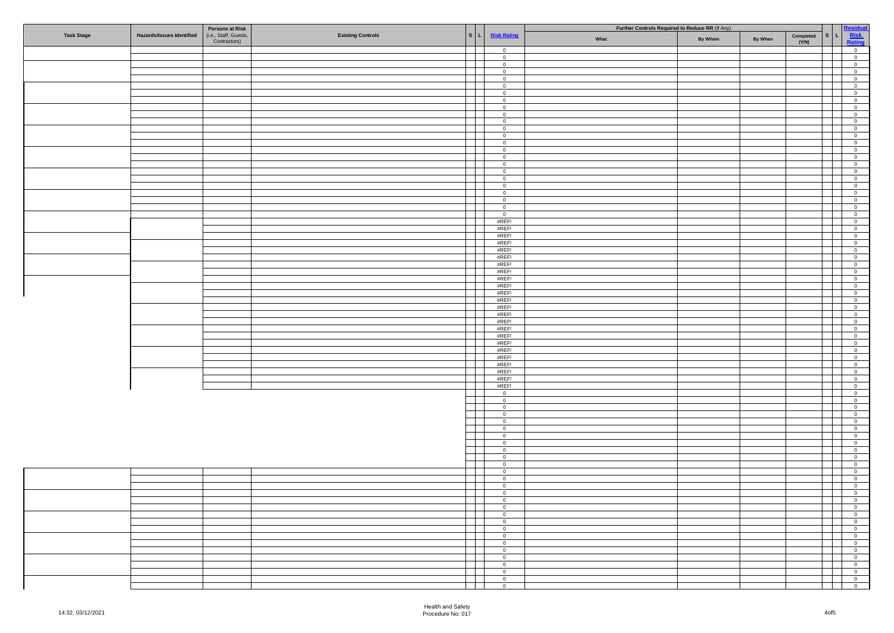|                   |                                  | <b>Persons at Risk</b> |                          |                                          | Further Controls Required to Reduce RR (If Any)     |      |         |         |           |             | sidu                                       |
|-------------------|----------------------------------|------------------------|--------------------------|------------------------------------------|-----------------------------------------------------|------|---------|---------|-----------|-------------|--------------------------------------------|
| <b>Task Stage</b> | <b>Hazards/Issues Identified</b> | (i.e., Staff, Guests,  | <b>Existing Controls</b> | S <sub>L</sub>                           | <b>Risk Rating</b>                                  | What | By Whom | By When | Completed | l s l<br>L. | <b>Risk</b><br>Rating                      |
|                   |                                  | Contractors)           |                          |                                          |                                                     |      |         |         | (Y/N)     |             |                                            |
|                   |                                  |                        |                          | a Bar                                    | $\overline{0}$<br>$\overline{0}$                    |      |         |         |           |             | $\overline{0}$<br>$\overline{0}$           |
|                   |                                  |                        |                          |                                          | $\overline{0}$                                      |      |         |         |           |             | $\overline{0}$                             |
|                   |                                  |                        |                          |                                          | $\overline{0}$                                      |      |         |         |           |             | $\overline{0}$                             |
|                   |                                  |                        |                          |                                          | $\overline{0}$                                      |      |         |         |           |             | $\overline{0}$                             |
|                   |                                  |                        |                          |                                          | $\overline{0}$                                      |      |         |         |           |             | $\overline{0}$                             |
|                   |                                  |                        |                          |                                          | $\overline{0}$<br>$\overline{0}$                    |      |         |         |           |             | $\overline{0}$<br>$\overline{0}$           |
|                   |                                  |                        |                          |                                          | $\overline{0}$                                      |      |         |         |           |             | $\overline{0}$                             |
|                   |                                  |                        |                          |                                          | $\overline{0}$                                      |      |         |         |           |             | $\overline{0}$                             |
|                   |                                  |                        |                          |                                          | $\overline{0}$                                      |      |         |         |           |             | $\overline{\mathbf{0}}$                    |
|                   |                                  |                        |                          |                                          | $\overline{0}$<br>$\overline{0}$                    |      |         |         |           |             | $\overline{0}$<br>$\overline{0}$           |
|                   |                                  |                        |                          |                                          | $\overline{0}$                                      |      |         |         |           |             | $\overline{0}$                             |
|                   |                                  |                        |                          |                                          | $\overline{0}$                                      |      |         |         |           |             | $\overline{\mathbf{0}}$                    |
|                   |                                  |                        |                          |                                          | $\mathbf 0$                                         |      |         |         |           |             | $\overline{0}$                             |
|                   |                                  |                        |                          |                                          | $\overline{0}$<br>$\overline{0}$                    |      |         |         |           |             | $\overline{0}$<br>$\overline{0}$           |
|                   |                                  |                        |                          |                                          | $\overline{0}$                                      |      |         |         |           |             | $\overline{0}$                             |
|                   |                                  |                        |                          |                                          | $\overline{0}$                                      |      |         |         |           |             | $\overline{0}$                             |
|                   |                                  |                        |                          |                                          | $\overline{0}$                                      |      |         |         |           |             | $\overline{0}$                             |
|                   |                                  |                        |                          |                                          | $\overline{0}$                                      |      |         |         |           |             | $\overline{0}$                             |
|                   |                                  |                        |                          |                                          | $\overline{0}$<br>$\overline{0}$                    |      |         |         |           |             | $\overline{0}$<br>$\overline{0}$           |
|                   |                                  |                        |                          |                                          | #REF!                                               |      |         |         |           |             | $\overline{0}$                             |
|                   |                                  |                        |                          |                                          | #REF!                                               |      |         |         |           |             | $\overline{0}$                             |
|                   |                                  |                        |                          |                                          | #REF!                                               |      |         |         |           |             | $\overline{\mathbf{0}}$                    |
|                   |                                  |                        |                          |                                          | #REF!<br>#REF!                                      |      |         |         |           |             | $\overline{0}$<br>$\overline{0}$           |
|                   |                                  |                        |                          |                                          | #REF!                                               |      |         |         |           |             | $\overline{0}$                             |
|                   |                                  |                        |                          |                                          | #REF!                                               |      |         |         |           |             | $\overline{0}$                             |
|                   |                                  |                        |                          |                                          | #REF!                                               |      |         |         |           |             | $\overline{0}$                             |
|                   |                                  |                        |                          |                                          | #REF!                                               |      |         |         |           |             | $\overline{0}$                             |
|                   |                                  |                        |                          |                                          | #REF!<br>#REF!                                      |      |         |         |           |             | $\overline{0}$<br>$\overline{0}$           |
|                   |                                  |                        |                          |                                          | #REF!                                               |      |         |         |           |             | $\overline{\mathbf{0}}$                    |
|                   |                                  |                        |                          |                                          | #REF!                                               |      |         |         |           |             | $\overline{0}$                             |
|                   |                                  |                        |                          |                                          | #REF!                                               |      |         |         |           |             | $\overline{0}$                             |
|                   |                                  |                        |                          |                                          | #REF!<br>#REF!                                      |      |         |         |           |             | $\overline{0}$<br>$\overline{0}$           |
|                   |                                  |                        |                          |                                          | #REF!                                               |      |         |         |           |             | $\overline{0}$                             |
|                   |                                  |                        |                          |                                          | #REF!                                               |      |         |         |           |             | $\overline{0}$                             |
|                   |                                  |                        |                          |                                          | #REF!                                               |      |         |         |           |             | $\overline{0}$                             |
|                   |                                  |                        |                          |                                          | #REF!                                               |      |         |         |           |             | $\overline{0}$                             |
|                   |                                  |                        |                          |                                          | #REF!<br>#REF!                                      |      |         |         |           |             | $\overline{0}$<br>$\overline{0}$           |
|                   |                                  |                        |                          |                                          | #REF!                                               |      |         |         |           |             | $\overline{0}$                             |
|                   |                                  |                        |                          |                                          | #REF!                                               |      |         |         |           |             | $\overline{0}$                             |
|                   |                                  |                        |                          |                                          | $\overline{0}$                                      |      |         |         |           |             | $\overline{0}$                             |
|                   |                                  |                        |                          |                                          | $\overline{0}$<br>$\overline{0}$                    |      |         |         |           |             | $\overline{0}$<br>$\overline{0}$           |
|                   |                                  |                        |                          |                                          | $\overline{0}$                                      |      |         |         |           |             | $\overline{\mathbf{0}}$                    |
|                   |                                  |                        |                          |                                          | $\overline{0}$                                      |      |         |         |           |             | $\overline{0}$                             |
|                   |                                  |                        |                          |                                          | $\overline{0}$                                      |      |         |         |           |             | $\overline{0}$                             |
|                   |                                  |                        |                          |                                          | $\overline{0}$<br>$\overline{0}$                    |      |         |         |           |             | $\overline{0}$<br>$\overline{0}$           |
|                   |                                  |                        |                          |                                          | $\overline{0}$                                      |      |         |         |           |             | $\overline{0}$                             |
|                   |                                  |                        |                          |                                          | $\overline{0}$                                      |      |         |         |           |             | $\overline{0}$                             |
|                   |                                  |                        |                          |                                          | $\overline{0}$                                      |      |         |         |           |             | $\overline{0}$                             |
|                   |                                  |                        |                          |                                          | $\overline{0}$<br>$\overline{0}$                    |      |         |         |           |             | $\overline{0}$                             |
|                   |                                  |                        |                          |                                          | $\overline{0}$                                      |      |         |         |           |             | $\overline{\mathbf{0}}$<br>$\overline{0}$  |
|                   |                                  |                        |                          |                                          | $\overline{0}$                                      |      |         |         |           |             | $\overline{0}$                             |
|                   |                                  |                        |                          |                                          | $\overline{0}$                                      |      |         |         |           |             | $\overline{0}$                             |
|                   |                                  |                        |                          | $\mathbf{1}$                             | $\overline{\phantom{0}}$                            |      |         |         |           |             |                                            |
|                   |                                  |                        |                          | $\overline{\phantom{0}}$<br>$\mathbf{I}$ | $\overline{\phantom{0}}$<br>$\overline{\mathbf{0}}$ |      |         |         |           |             | $\overline{0}$<br>$\overline{\phantom{0}}$ |
|                   |                                  |                        |                          | $\mathcal{L}$                            | $\overline{\mathbf{0}}$                             |      |         |         |           |             | $\overline{0}$                             |
|                   |                                  |                        |                          | a ka                                     | $\overline{\mathbf{0}}$                             |      |         |         |           |             |                                            |
|                   |                                  |                        |                          | $\overline{\phantom{a}}$                 | $\overline{\phantom{0}}$                            |      |         |         |           | $\Box$      | $\overline{\mathbf{0}}$                    |
|                   |                                  |                        |                          | H                                        | $\overline{\mathbf{0}}$                             |      |         |         |           | $\sim$ 1    | $\overline{\phantom{0}}$                   |
|                   |                                  |                        |                          | and the property<br>$\blacksquare$       | $\overline{0}$<br>$\overline{\phantom{0}}$          |      |         |         |           |             | $\overline{\phantom{0}}$                   |
|                   |                                  |                        |                          | J                                        | $\overline{\phantom{0}}$                            |      |         |         |           |             |                                            |
|                   |                                  |                        |                          | $\Box$                                   | $\overline{\phantom{0}}$                            |      |         |         |           |             | $\overline{\phantom{0}}$                   |
|                   |                                  |                        |                          | a propinsi Partid                        | $\overline{\mathbf{0}}$                             |      |         |         |           | a sa T      | $\overline{\phantom{0}}$                   |